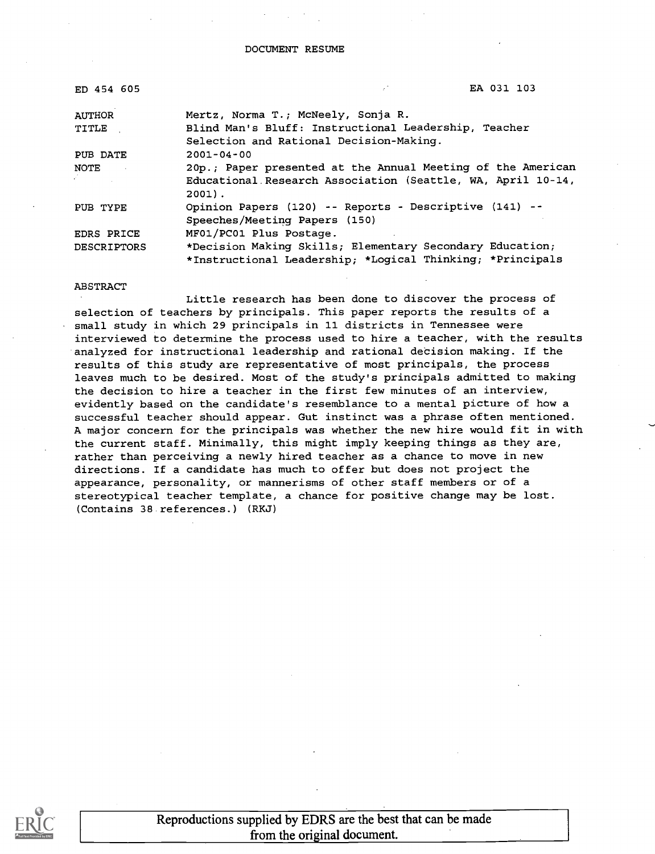DOCUMENT RESUME

| ED 454 605         | EA 031 103                                                  |
|--------------------|-------------------------------------------------------------|
| <b>AUTHOR</b>      | Mertz, Norma T.; McNeely, Sonja R.                          |
| TITLE              | Blind Man's Bluff: Instructional Leadership, Teacher        |
|                    | Selection and Rational Decision-Making.                     |
| PUB DATE           | $2001 - 04 - 00$                                            |
| NOTE <b>NOTE</b>   | 20p.; Paper presented at the Annual Meeting of the American |
|                    | Educational Research Association (Seattle, WA, April 10-14, |
|                    | $2001$ .                                                    |
| PUB TYPE           | Opinion Papers (120) -- Reports - Descriptive (141) --      |
|                    | Speeches/Meeting Papers (150)                               |
| EDRS PRICE         | MF01/PC01 Plus Postage.                                     |
| <b>DESCRIPTORS</b> | *Decision Making Skills; Elementary Secondary Education;    |
|                    | *Instructional Leadership; *Logical Thinking; *Principals   |

#### ABSTRACT

Little research has been done to discover the process of selection of teachers by principals. This paper reports the results of a small study in which 29 principals in 11 districts in Tennessee were interviewed to determine the process used to hire a teacher, with the results analyzed for instructional leadership and rational decision making. If the results of this study are representative of most principals, the process leaves much to be desired. Most of the study's principals admitted to making the decision to hire a teacher in the first few minutes of an interview, evidently based on the candidate's resemblance to a mental picture of how a successful teacher should appear. Gut instinct was a phrase often mentioned. A major concern for the principals was whether the new hire would fit in with the current staff. Minimally, this might imply keeping things as they are, rather than perceiving a newly hired teacher as a chance to move in new directions. If a candidate has much to offer but does not project the appearance, personality, or mannerisms of other staff members or of a stereotypical teacher template, a chance for positive change may be lost. (Contains 38 references.) (RKJ)



Reproductions supplied by EDRS are the best that can be made from the original document.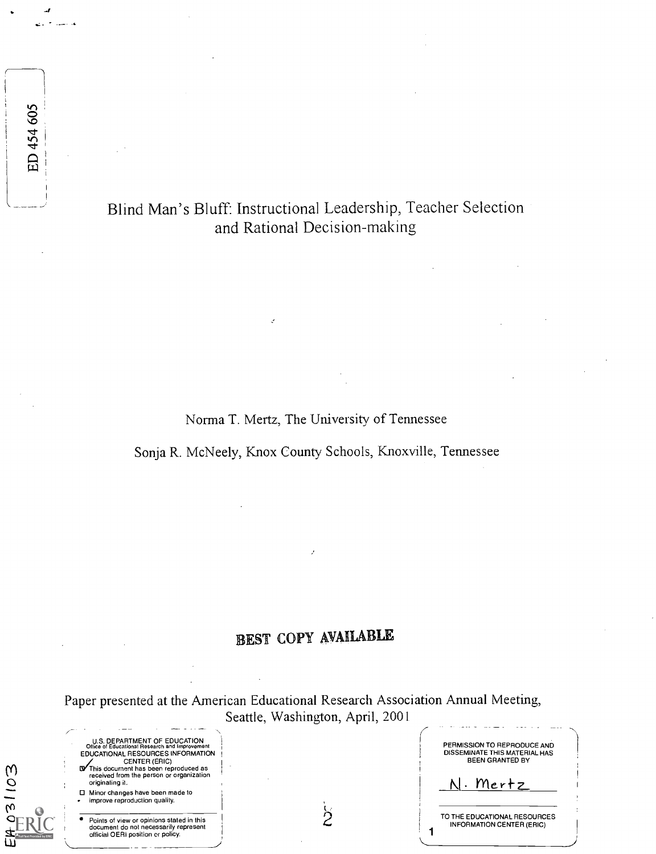Blind Man's Bluff: Instructional Leadership, Teacher Selection and Rational Decision-making

ED 454 605

E403103

Norma T. Mertz, The University of Tennessee

Sonja R. McNeely, Knox County Schools, Knoxville, Tennessee

# EST COPY AVAILABLE

Paper presented at the American Educational Research Association Annual Meeting, Seattle, Washington, April, 2001

| U.S. DEPARTMENT OF EDUCATION<br>Office of Educational Research and Improvement<br>EDUCATIONAL RESOURCES INFORMATION<br><b>CENTER (ERIC)</b><br><b>IV</b> This document has been reproduced as | PERMISSION TO REPRODUCE AND<br>DISSEMINATE THIS MATERIAL HAS<br><b>BEEN GRANTED BY</b> |
|-----------------------------------------------------------------------------------------------------------------------------------------------------------------------------------------------|----------------------------------------------------------------------------------------|
| received from the person or organization<br>originating it.                                                                                                                                   | N. Mertz                                                                               |
| □ Minor changes have been made to<br>improve reproduction quality.                                                                                                                            |                                                                                        |
| Points of view or opinions stated in this<br>document do not necessarily represent<br>official OERI position or policy.                                                                       | TO THE EDUCATIONAL RESOURCES<br><b>INFORMATION CENTER (ERIC)</b>                       |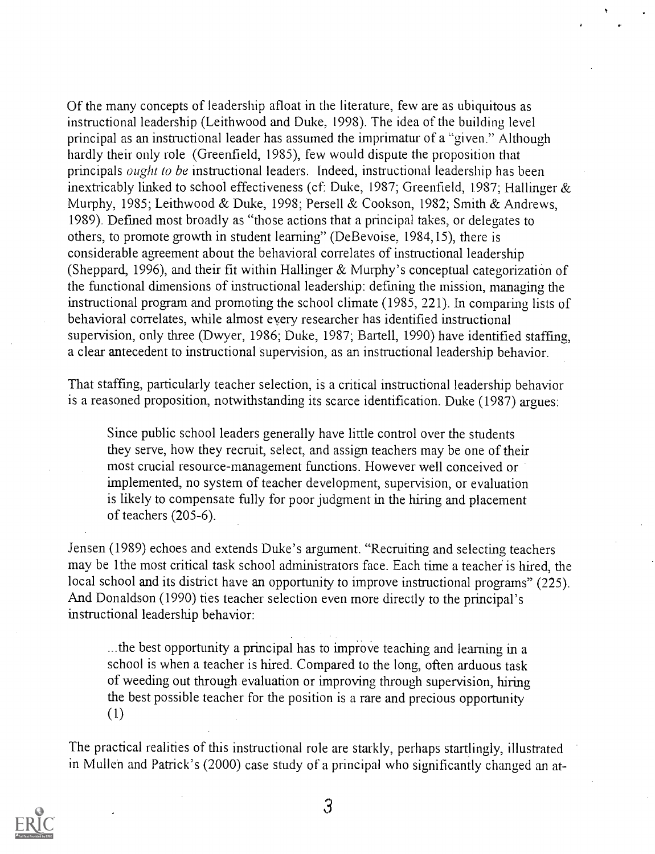Of the many concepts of leadership afloat in the literature, few are as ubiquitous as instructional leadership (Leithwood and Duke, 1998). The idea of the building level principal as an instructional leader has assumed the imprimatur of a "given." Although hardly their only role (Greenfield, 1985), few would dispute the proposition that principals *ought to be* instructional leaders. Indeed, instructional leadership has been inextricably linked to school effectiveness (cf: Duke, 1987; Greenfield, 1987; Hallinger & Murphy, 1985; Leithwood & Duke, 1998; Persell & Cookson, 1982; Smith & Andrews, 1989). Defined most broadly as "those actions that a principal takes, or delegates to others, to promote growth in student learning" (DeBevoise, 1984,15), there is considerable agreement about the behavioral correlates of instructional leadership (Sheppard, 1996), and their fit within Hallinger & Murphy's conceptual categorization of the functional dimensions of instructional leadership: defining the mission, managing the instructional program and promoting the school climate (1985, 221). In comparing lists of behavioral correlates, while almost every researcher has identified instructional supervision, only three (Dwyer, 1986; Duke, 1987; Bartell, 1990) have identified staffing, a clear antecedent to instructional supervision, as an instructional leadership behavior.

That staffing, particularly teacher selection, is a critical instructional leadership behavior is a reasoned proposition, notwithstanding its scarce identification. Duke (1987) argues:

Since public school leaders generally have little control over the students they serve, how they recruit, select, and assign teachers may be one of their most crucial resource-management functions. However well conceived or implemented, no system of teacher development, supervision, or evaluation is likely to compensate fully for poor judgment in the hiring and placement of teachers (205-6).

Jensen (1989) echoes and extends Duke's argument. "Recruiting and selecting teachers may be lthe most critical task school administrators face. Each time a teacher is hired, the local school and its district have an opportunity to improve instructional programs" (225). And Donaldson (1990) ties teacher selection even more directly to the principal's instructional leadership behavior:

...the best opportunity a principal has to improve teaching and learning in a school is when a teacher is hired. Compared to the long, often arduous task of weeding out through evaluation or improving through supervision, hiring the best possible teacher for the position is a rare and precious opportunity (1)

The practical realities of this instructional role are starkly, perhaps startlingly, illustrated in Mullen and Patrick's (2000) case study of a principal who significantly changed an at-



 $\mathfrak{Z}$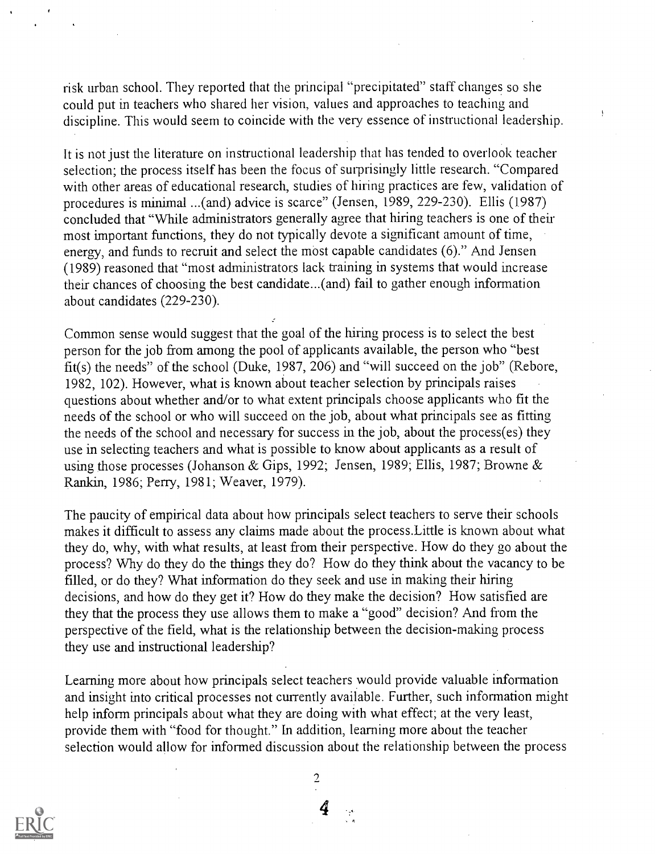risk urban school. They reported that the principal "precipitated" staff changes so she could put in teachers who shared her vision, values and approaches to teaching and discipline. This would seem to coincide with the very essence of instructional leadership.

It is not just the literature on instructional leadership that has tended to overlook teacher selection; the process itself has been the focus of surprisingly little research. "Compared with other areas of educational research, studies of hiring practices are few, validation of procedures is minimal ...(and) advice is scarce" (Jensen, 1989, 229-230). Ellis (1987) concluded that "While administrators generally agree that hiring teachers is one of their most important functions, they do not typically devote a significant amount of time, energy, and funds to recruit and select the most capable candidates (6)." And Jensen (1989) reasoned that "most administrators lack training in systems that would increase their chances of choosing the best candidate...(and) fail to gather enough information about candidates (229-230).

Common sense would suggest that the goal of the hiring process is to select the best person for the job from among the pool of applicants available, the person who "best fit(s) the needs" of the school (Duke, 1987, 206) and "will succeed on the job" (Rebore, 1982, 102). However, what is known about teacher selection by principals raises questions about whether and/or to what extent principals choose applicants who fit the needs of the school or who will succeed on the job, about what principals see as fitting the needs of the school and necessary for success in the job, about the process(es) they use in selecting teachers and what is possible to know about applicants as a result of using those processes (Johanson & Gips, 1992; Jensen, 1989; Ellis, 1987; Browne & Rankin, 1986; Perry, 1981; Weaver, 1979).

The paucity of empirical data about how principals select teachers to serve their schools makes it difficult to assess any claims made about the process.Little is known about what they do, why, with what results, at least from their perspective. How do they go about the process? Why do they do the things they do? How do they think about the vacancy to be filled, or do they? What information do they seek and use in making their hiring decisions, and how do they get it? How do they make the decision? How satisfied are they that the process they use allows them to make a "good" decision? And from the perspective of the field, what is the relationship between the decision-making process they use and instructional leadership?

Learning more about how principals select teachers would provide valuable information and insight into critical processes not currently available. Further, such information might help inform principals about what they are doing with what effect; at the very least, provide them with "food for thought." In addition, learning more about the teacher selection would allow for informed discussion about the relationship between the process

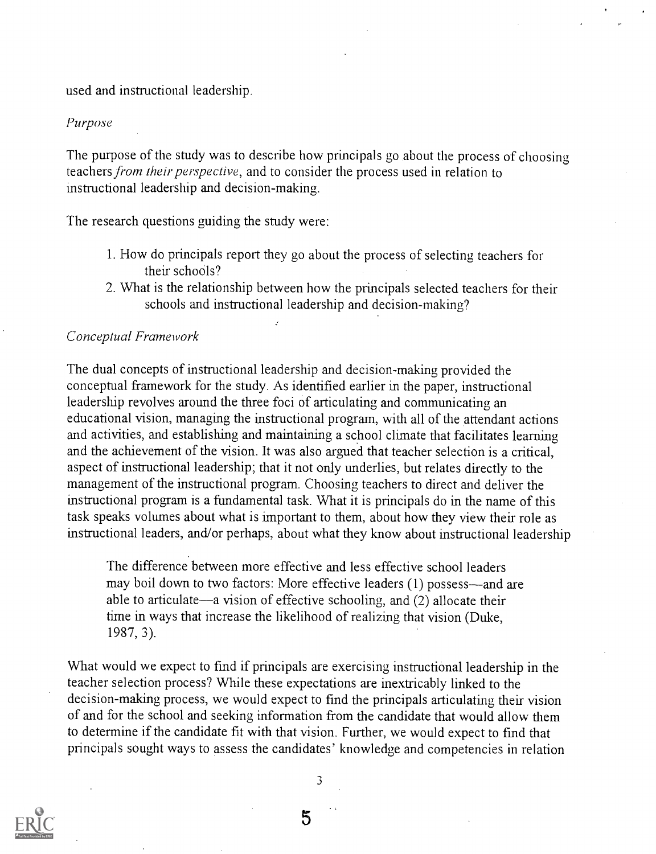used and instructional leadership.

#### Purpose

The purpose of the study was to describe how principals go about the process of choosing teachers from their perspective, and to consider the process used in relation to instructional leadership and decision-making.

The research questions guiding the study were:

- 1. How do principals report they go about the process of selecting teachers for their schools?
- 2. What is the relationship between how the principals selected teachers for their schools and instructional leadership and decision-making?

## Conceptual Framework

The dual concepts of instructional leadership and decision-making provided the conceptual framework for the study. As identified earlier in the paper, instructional leadership revolves around the three foci of articulating and communicating an educational vision, managing the instructional program, with all of the attendant actions and activities, and establishing and maintaining a school climate that facilitates learning and the achievement of the vision. It was also argued that teacher selection is a critical, aspect of instructional leadership; that it not only underlies, but relates directly to the management of the instructional program. Choosing teachers to direct and deliver the instructional program is a fundamental task. What it is principals do in the name of this task speaks volumes about what is important to them, about how they view their role as instructional leaders, and/or perhaps, about what they know about instructional leadership

The difference between more effective and less effective school leaders may boil down to two factors: More effective leaders (1) possess—and are able to articulate—a vision of effective schooling, and  $(2)$  allocate their time in ways that increase the likelihood of realizing that vision (Duke, 1987, 3).

What would we expect to find if principals are exercising instructional leadership in the teacher selection process? While these expectations are inextricably linked to the decision-making process, we would expect to find the principals articulating their vision of and for the school and seeking information from the candidate that would allow them to determine if the candidate fit with that vision. Further, we would expect to find that principals sought ways to assess the candidates' knowledge and competencies in relation

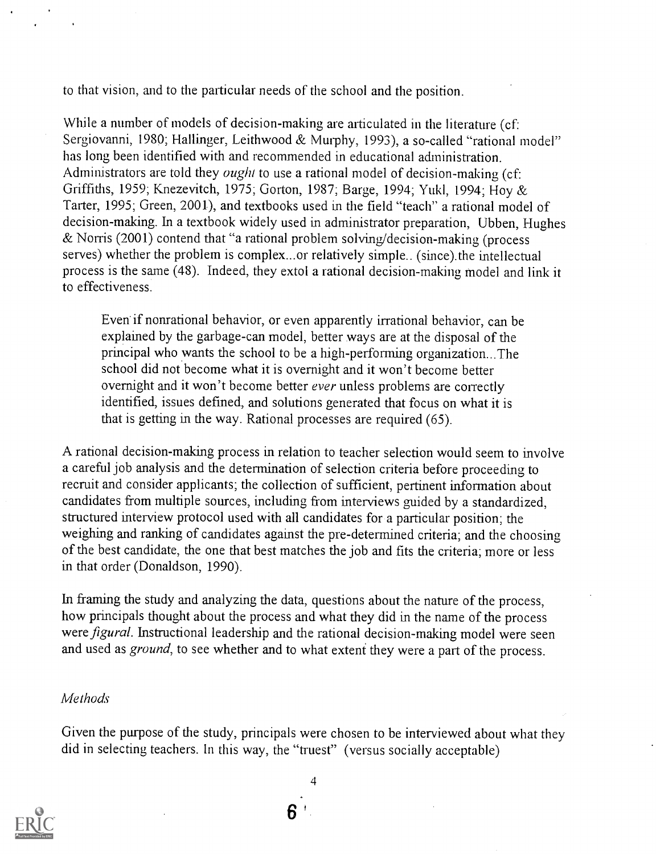to that vision, and to the particular needs of the school and the position.

While a number of models of decision-making are articulated in the literature (cf: Sergiovanni, 1980; Hallinger, Leithwood & Murphy, 1993), a so-called "rational model" has long been identified with and recommended in educational administration. Administrators are told they *ought* to use a rational model of decision-making (cf: Griffiths, 1959; Knezevitch, 1975; Gorton, 1987; Barge, 1994; Yukl, 1994; Hoy & Tarter, 1995; Green, 2001), and textbooks used in the field "teach" a rational model of decision-making. In a textbook widely used in administrator preparation, Ubben, Hughes & Norris (2001) contend that "a rational problem solving/decision-making (process serves) whether the problem is complex...or relatively simple.. (since).the intellectual process is the same (48). Indeed, they extol a rational decision-making model and link it to effectiveness.

Even if nonrational behavior, or even apparently irrational behavior, can be explained by the garbage-can model, better ways are at the disposal of the principal who wants the school to be a high-performing organization...The school did not become what it is overnight and it won't become better overnight and it won't become better ever unless problems are correctly identified, issues defined, and solutions generated that focus on what it is that is getting in the way. Rational processes are required (65).

A rational decision-making process in relation to teacher selection would seem to involve a careful job analysis and the determination of selection criteria before proceeding to recruit and consider applicants; the collection of sufficient, pertinent information about candidates from multiple sources, including from interviews guided by a standardized, structured interview protocol used with all candidates for a particular position; the weighing and ranking of candidates against the pre determined criteria; and the choosing of the best candidate, the one that best matches the job and fits the criteria; more or less in that order (Donaldson, 1990).

In framing the study and analyzing the data, questions about the nature of the process, how principals thought about the process and what they did in the name of the process were *figural*. Instructional leadership and the rational decision-making model were seen and used as ground, to see whether and to what extent they were a part of the process.

## Methods

Given the purpose of the study, principals were chosen to be interviewed about what they did in selecting teachers. In this way, the "truest" (versus socially acceptable)

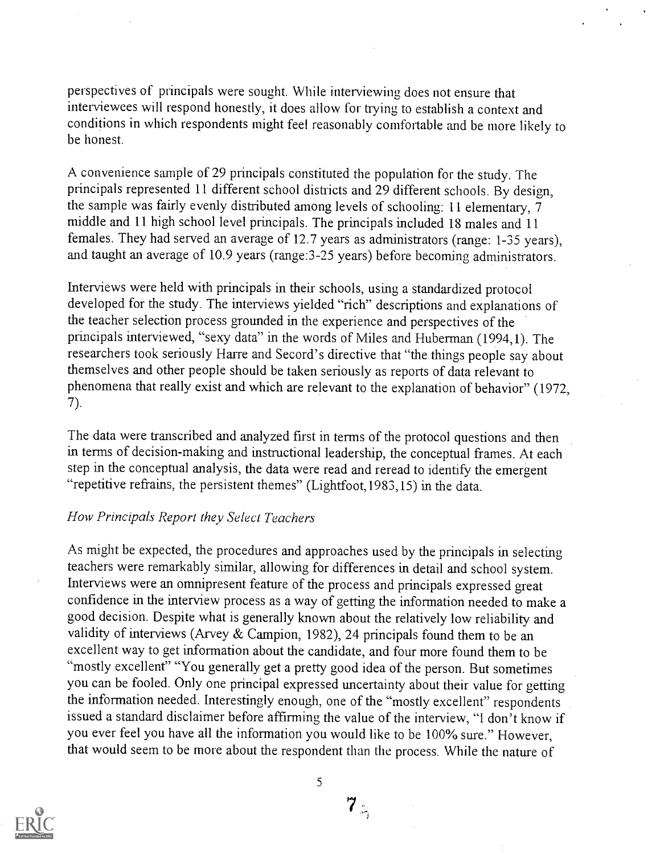perspectives of principals were sought. While interviewing does not ensure that interviewees will respond honestly, it does allow for trying to establish a context and conditions in which respondents might feel reasonably comfortable and be more likely to be honest.

A convenience sample of 29 principals constituted the population for the study. The principals represented 11 different school districts and 29 different schools. By design, the sample was fairly evenly distributed among levels of schooling: 11 elementary, 7 middle and 11 high school level principals. The principals included 18 males and 11 females. They had served an average of 12.7 years as administrators (range: 1-35 years), and taught an average of 10.9 years (range:3-25 years) before becoming administrators.

Interviews were held with principals in their schools, using a standardized protocol developed for the study. The interviews yielded "rich" descriptions and explanations of the teacher selection process grounded in the experience and perspectives of the principals interviewed, "sexy data" in the words of Miles and Huberman (1994,1). The researchers took seriously Harre and Secord's directive that "the things people say about themselves and other people should be taken seriously as reports of data relevant to phenomena that really exist and which are relevant to the explanation of behavior" (1972, 7).

The data were transcribed and analyzed first in terms of the protocol questions and then in terms of decision-making and instructional leadership, the conceptual frames. At each step in the conceptual analysis, the data were read and reread to identify the emergent "repetitive refrains, the persistent themes" (Lightfoot,1983,15) in the data.

## How Principals Report they Select Teachers

As might be expected, the procedures and approaches used by the principals in selecting teachers were remarkably similar, allowing for differences in detail and school system. Interviews were an omnipresent feature of the process and principals expressed great confidence in the interview process as a way of getting the information needed to make a good decision. Despite what is generally known about the relatively low reliability and validity of interviews (Arvey & Campion, 1982), 24 principals found them to be an excellent way to get information about the candidate, and four more found them to be "mostly excellent" "You generally get a pretty good idea of the person. But sometimes you can be fooled. Only one principal expressed uncertainty about their value for getting the information needed. Interestingly enough, one of the "mostly excellent" respondents issued a standard disclaimer before affirming the value of the interview, "I don't know if you ever feel you have all the information you would like to be 100% sure." However, that would seem to be more about the respondent than the process. While the nature of



5

 $7<sub>z<sub>1</sub></sub>$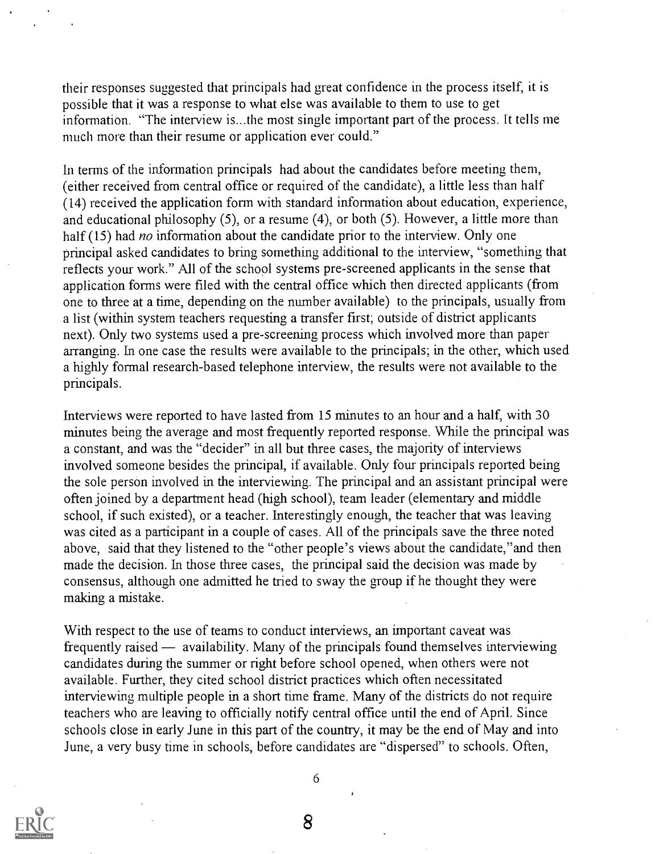their responses suggested that principals had great confidence in the process itself, it is possible that it was a response to what else was available to them to use to get information. "The interview is...the most single important part of the process. It tells me much more than their resume or application ever could."

In terms of the information principals had about the candidates before meeting them, (either received from central office or required of the candidate), a little less than half (14) received the application form with standard information about education, experience, and educational philosophy (5), or a resume (4), or both (5). However, a little more than half (15) had *no* information about the candidate prior to the interview. Only one principal asked candidates to bring something additional to the interview, "something that reflects your work." All of the school systems pre-screened applicants in the sense that application forms were filed with the central office which then directed applicants (from one to three at a time, depending on the number available) to the principals, usually from a list (within system teachers requesting a transfer first; outside of district applicants next). Only two systems used a pre-screening process which involved more than paper arranging. In one case the results were available to the principals; in the other, which used a highly formal research-based telephone interview, the results were not available to the principals.

Interviews were reported to have lasted from 15 minutes to an hour and a half, with 30 minutes being the average and most frequently reported response. While the principal was a constant, and was the "decider" in all but three cases, the majority of interviews involved someone besides the principal, if available. Only four principals reported being the sole person involved in the interviewing. The principal and an assistant principal were often joined by a department head (high school), team leader (elementary and middle school, if such existed), or a teacher. Interestingly enough, the teacher that was leaving was cited as a participant in a couple of cases. All of the principals save the three noted above, said that they listened to the "other people's views about the candidate,"and then made the decision. In those three cases, the principal said the decision was made by consensus, although one admitted he tried to sway the group if he thought they were making a mistake.

With respect to the use of teams to conduct interviews, an important caveat was frequently raised — availability. Many of the principals found themselves interviewing candidates during the summer or right before school opened, when others were not available. Further, they cited school district practices which often necessitated interviewing multiple people in a short time frame. Many of the districts do not require teachers who are leaving to officially notify central office until the end of April. Since schools close in early June in this part of the country, it may be the end of May and into June, a very busy time in schools, before candidates are "dispersed" to schools. Often,



6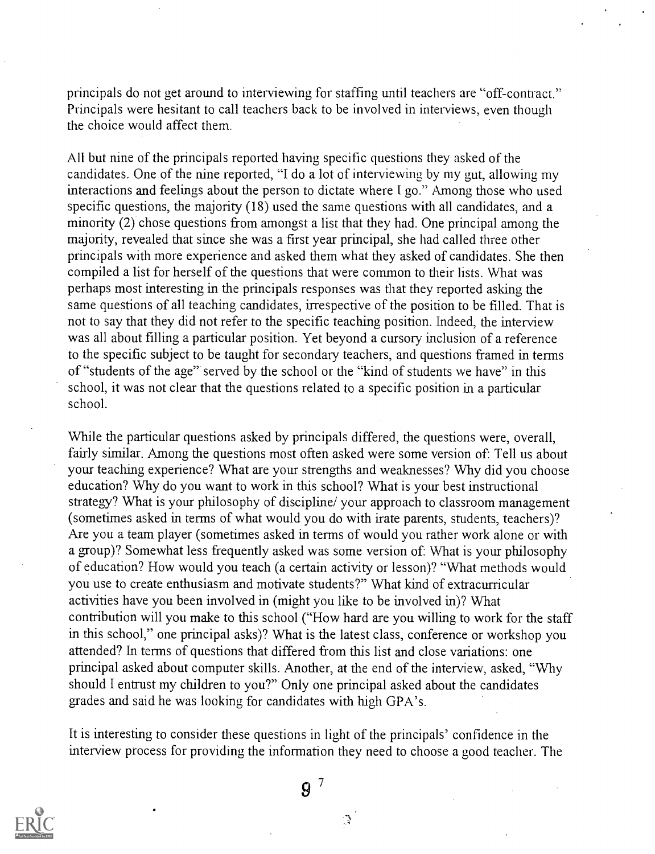principals do not get around to interviewing for staffing until teachers are "off-contract." Principals were hesitant to call teachers back to be involved in interviews, even though the choice would affect them.

All but nine of the principals reported having specific questions they asked of the candidates. One of the nine reported, "I do a lot of interviewing by my gut, allowing my interactions and feelings about the person to dictate where I go." Among those who used specific questions, the majority (18) used the same questions with all candidates, and a minority (2) chose questions from amongst a list that they had. One principal among the majority, revealed that since she was a first year principal, she had called three other principals with more experience and asked them what they asked of candidates. She then compiled a list for herself of the questions that were common to their lists. What was perhaps most interesting in the principals responses was that they reported asking the same questions of all teaching candidates, irrespective of the position to be filled. That is not to say that they did not refer to the specific teaching position. Indeed, the interview was all about filling a particular position. Yet beyond a cursory inclusion of a reference to the specific subject to be taught for secondary teachers, and questions framed in terms of "students of the age" served by the school or the "kind of students we have" in this school, it was not clear that the questions related to a specific position in a particular school.

While the particular questions asked by principals differed, the questions were, overall, fairly similar. Among the questions most often asked were some version of: Tell us about your teaching experience? What are your strengths and weaknesses? Why did you choose education? Why do you want to work in this school? What is your best instructional strategy? What is your philosophy of discipline/ your approach to classroom management (sometimes asked in terms of what would you do with irate parents, students, teachers)? Are you a team player (sometimes asked in terms of would you rather work alone or with a group)? Somewhat less frequently asked was some version of: What is your philosophy of education? How would you teach (a certain activity or lesson)? "What methods would you use to create enthusiasm and motivate students?" What kind of extracurricular activities have you been involved in (might you like to be involved in)? What contribution will you make to this school ("How hard are you willing to work for the staff in this school," one principal asks)? What is the latest class, conference or workshop you attended? In terms of questions that differed from this list and close variations: one principal asked about computer skills. Another, at the end of the interview, asked, "Why should I entrust my children to you?" Only one principal asked about the candidates grades and said he was looking for candidates with high GPA's.

It is interesting to consider these questions in light of the principals' confidence in the interview process for providing the information they need to choose a good teacher. The



 $9^7$ 

 $\mathcal{L}$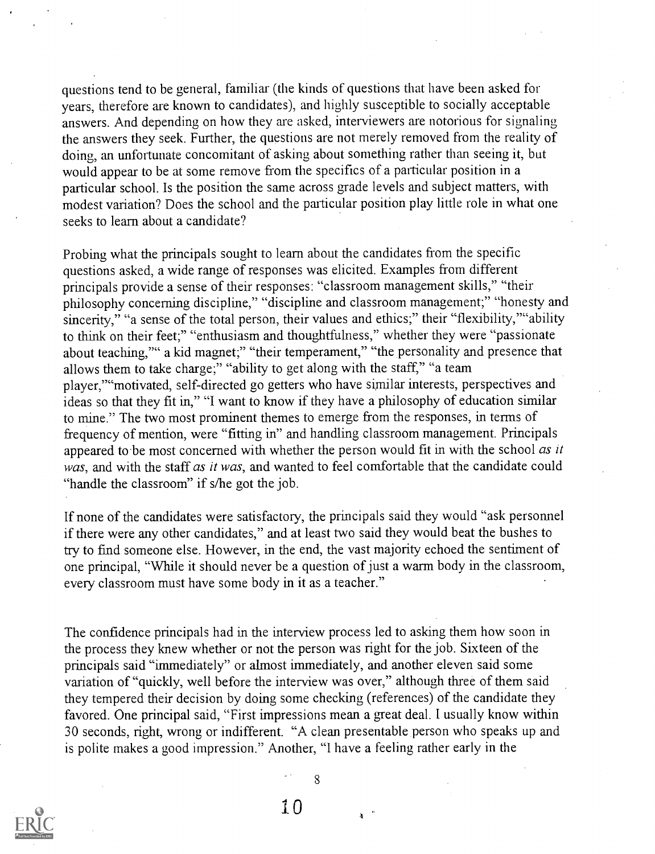questions tend to be general, familiar (the kinds of questions that have been asked for years, therefore are known to candidates), and highly susceptible to socially acceptable answers. And depending on how they are asked, interviewers are notorious for signaling the answers they seek. Further, the questions are not merely removed from the reality of doing, an unfortunate concomitant of asking about something rather than seeing it, but would appear to be at some remove from the specifics of a particular position in a particular school. Is the position the same across grade levels and subject matters, with modest variation? Does the school and the particular position play little role in what one seeks to learn about a candidate?

Probing what the principals sought to learn about the candidates from the specific questions asked, a wide range of responses was elicited. Examples from different principals provide a sense of their responses: "classroom management skills," "their philosophy concerning discipline," "discipline and classroom management;" "honesty and sincerity," "a sense of the total person, their values and ethics;" their "flexibility," "ability to think on their feet;" "enthusiasm and thoughtfulness," whether they were "passionate about teaching,"" a kid magnet;" "their temperament," "the personality and presence that allows them to take charge;" "ability to get along with the staff," "a team player,'"`motivated, self-directed go getters who have similar interests, perspectives and ideas so that they fit in," "I want to know if they have a philosophy of education similar to mine." The two most prominent themes to emerge from the responses, in terms of frequency of mention, were "fitting in" and handling classroom management. Principals appeared to be most concerned with whether the person would fit in with the school as it was, and with the staff as it was, and wanted to feel comfortable that the candidate could "handle the classroom" if s/he got the job.

If none of the candidates were satisfactory, the principals said they would "ask personnel if there were any other candidates," and at least two said they would beat the bushes to try to find someone else. However, in the end, the vast majority echoed the sentiment of one principal, "While it should never be a question of just a warm body in the classroom, every classroom must have some body in it as a teacher."

The confidence principals had in the interview process led to asking them how soon in the process they knew whether or not the person was right for the job. Sixteen of the principals said "immediately" or almost immediately, and another eleven said some variation of "quickly, well before the interview was over," although three of them said they tempered their decision by doing some checking (references) of the candidate they favored. One principal said, "First impressions mean a great deal. I usually know within 30 seconds, right, wrong or indifferent. "A clean presentable person who speaks up and is polite makes a good impression." Another, "I have a feeling rather early in the

8

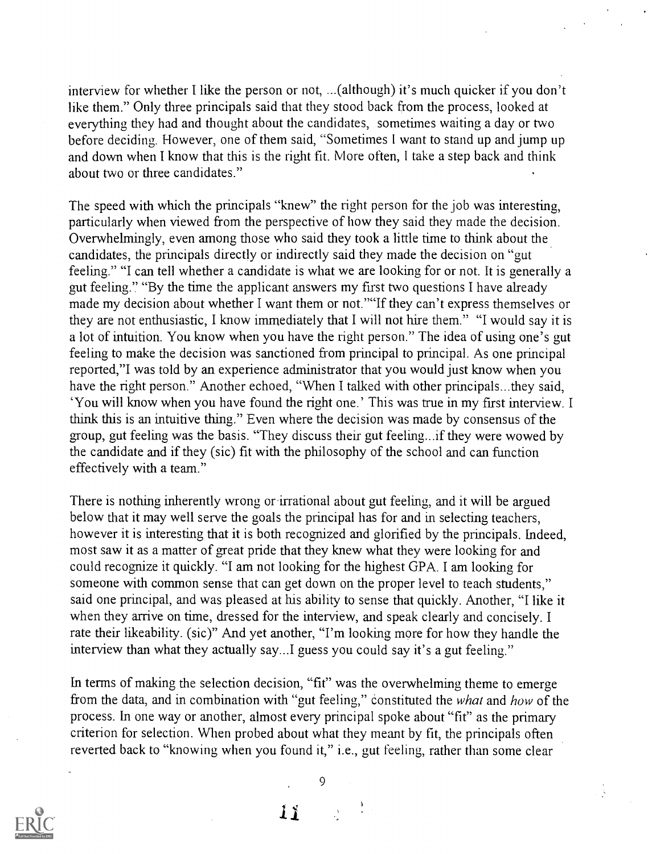interview for whether I like the person or not, ...(although) it's much quicker if you don't like them." Only three principals said that they stood back from the process, looked at everything they had and thought about the candidates, sometimes waiting a day or two before deciding. However, one of them said, "Sometimes I want to stand up and jump up and down when I know that this is the right fit. More often, I take a step back and think about two or three candidates."

The speed with which the principals "knew" the right person for the job was interesting, particularly when viewed from the perspective of how they said they made the decision. Overwhelmingly, even among those who said they took a little time to think about the candidates, the principals directly or indirectly said they made the decision on "gut feeling." "I can tell whether a candidate is what we are looking for or not. It is generally a gut feeling." "By the time the applicant answers my first two questions I have already made my decision about whether I want them or not.""If they can't express themselves or they are not enthusiastic, I know immediately that I will not hire them." "I would say it is a lot of intuition. You know when you have the right person." The idea of using one's gut feeling to make the decision was sanctioned from principal to principal. As one principal reported,"I was told by an experience administrator that you would just know when you have the right person." Another echoed, "When I talked with other principals...they said, `You will know when you have found the right one.' This was true in my first interview. I think this is an intuitive thing." Even where the decision was made by consensus of the group, gut feeling was the basis. "They discuss their gut feeling...if they were wowed by the candidate and if they (sic) fit with the philosophy of the school and can function effectively with a team."

There is nothing inherently wrong or irrational about gut feeling, and it will be argued below that it may well serve the goals the principal has for and in selecting teachers, however it is interesting that it is both recognized and glorified by the principals. Indeed, most saw it as a matter of great pride that they knew what they were looking for and could recognize it quickly. "I am not looking for the highest GPA. I am looking for someone with common sense that can get down on the proper level to teach students," said one principal, and was pleased at his ability to sense that quickly. Another, "I like it when they arrive on time, dressed for the interview, and speak clearly and concisely. I rate their likeability. (sic)" And yet another, "I'm looking more for how they handle the interview than what they actually say...I guess you could say it's a gut feeling."

In terms of making the selection decision, "fit" was the overwhelming theme to emerge from the data, and in combination with "gut feeling," constituted the what and how of the process. In one way or another, almost every principal spoke about "fit" as the primary criterion for selection. When probed about what they meant by fit, the principals often reverted back to "knowing when you found it," i.e., gut feeling, rather than some clear



9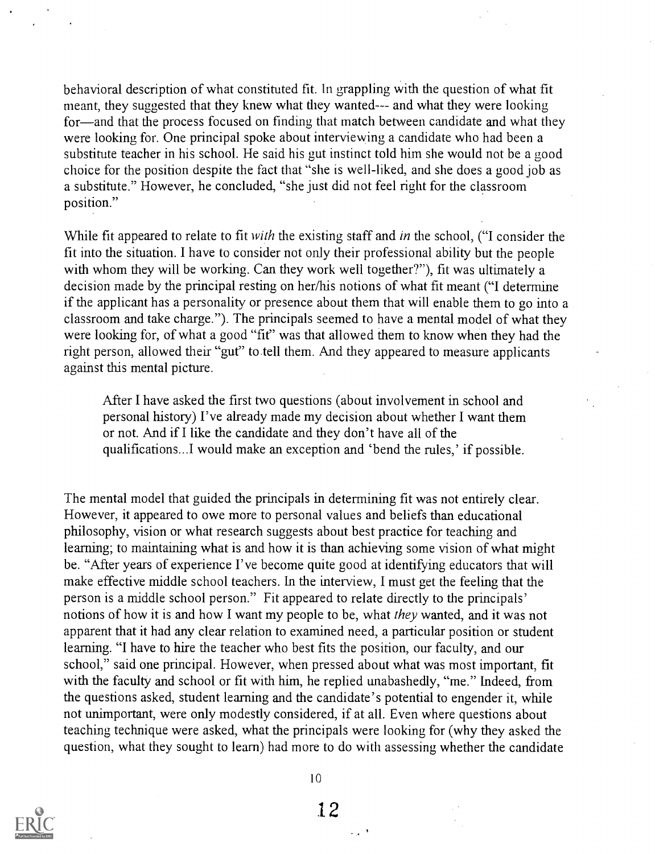behavioral description of what constituted fit. In grappling with the question of what fit meant, they suggested that they knew what they wanted--- and what they were looking for—and that the process focused on finding that match between candidate and what they were looking for. One principal spoke about interviewing a candidate who had been a substitute teacher in his school. He said his gut instinct told him she would not be a good choice for the position despite the fact that "she is well-liked, and she does a good job as a substitute." However, he concluded, "she just did not feel right for the classroom position."

While fit appeared to relate to fit *with* the existing staff and *in* the school, ("I consider the fit into the situation. I have to consider not only their professional ability but the people with whom they will be working. Can they work well together?"), fit was ultimately a decision made by the principal resting on her/his notions of what fit meant ("I determine if the applicant has a personality or presence about them that will enable them to go into a classroom and take charge."). The principals seemed to have a mental model of what they were looking for, of what a good "fit" was that allowed them to know when they had the right person, allowed their "gut" to tell them. And they appeared to measure applicants against this mental picture.

After I have asked the first two questions (about involvement in school and personal history) I've already made my decision about whether I want them or not. And if I like the candidate and they don't have all of the qualifications...I would make an exception and 'bend the rules,' if possible.

The mental model that guided the principals in determining fit was not entirely clear. However, it appeared to owe more to personal values and beliefs than educational philosophy, vision or what research suggests about best practice for teaching and learning; to maintaining what is and how it is than achieving some vision of what might be. "After years of experience I've become quite good at identifying educators that will make effective middle school teachers. In the interview, I must get the feeling that the person is a middle school person." Fit appeared to relate directly to the principals' notions of how it is and how I want my people to be, what they wanted, and it was not apparent that it had any clear relation to examined need, a particular position or student learning. "I have to hire the teacher who best fits the position, our faculty, and our school," said one principal. However, when pressed about what was most important, fit with the faculty and school or fit with him, he replied unabashedly, "me." Indeed, from the questions asked, student learning and the candidate's potential to engender it, while not unimportant, were only modestly considered, if at all. Even where questions about teaching technique were asked, what the principals were looking for (why they asked the question, what they sought to learn) had more to do with assessing whether the candidate



10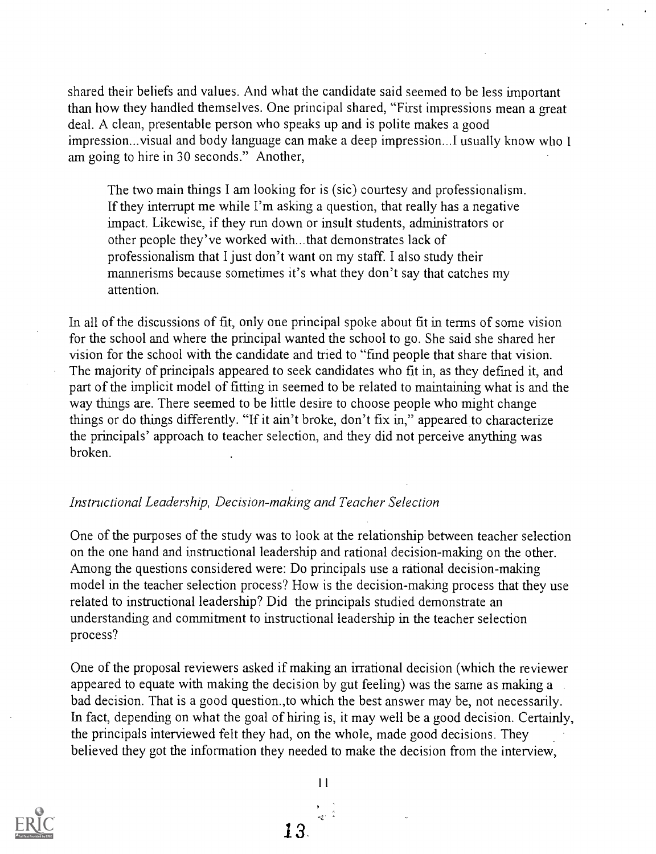shared their beliefs and values. And what the candidate said seemed to be less important than how they handled themselves. One principal shared, "First impressions mean a great deal. A clean, presentable person who speaks up and is polite makes a good impression...visual and body language can make a deep impression...1 usually know who 1 am going to hire in 30 seconds." Another,

The two main things I am looking for is (sic) courtesy and professionalism. If they interrupt me while I'm asking a question, that really has a negative impact. Likewise, if they run down or insult students, administrators or other people they've worked with...that demonstrates lack of professionalism that I just don't want on my staff. I also study their mannerisms because sometimes it's what they don't say that catches my attention.

In all of the discussions of fit, only one principal spoke about fit in terms of some vision for the school and where the principal wanted the school to go. She said she shared her vision for the school with the candidate and tried to "find people that share that vision. The majority of principals appeared to seek candidates who fit in, as they defined it, and part of the implicit model of fitting in seemed to be related to maintaining what is and the way things are. There seemed to be little desire to choose people who might change things or do things differently. "If it ain't broke, don't fix in," appeared to characterize the principals' approach to teacher selection, and they did not perceive anything was broken.

## Instructional Leadership, Decision-making and Teacher Selection

One of the purposes of the study was to look at the relationship between teacher selection on the one hand and instructional leadership and rational decision-making on the other. Among the questions considered were: Do principals use a rational decision-making model in the teacher selection process? How is the decision-making process that they use related to instructional leadership? Did the principals studied demonstrate an understanding and commitment to instructional leadership in the teacher selection process?

One of the proposal reviewers asked if making an irrational decision (which the reviewer appeared to equate with making the decision by gut feeling) was the same as making a bad decision. That is a good question.,to which the best answer may be, not necessarily. In fact, depending on what the goal of hiring is, it may well be a good decision. Certainly, the principals interviewed felt they had, on the whole, made good decisions. They believed they got the information they needed to make the decision from the interview,



 $11$ 13.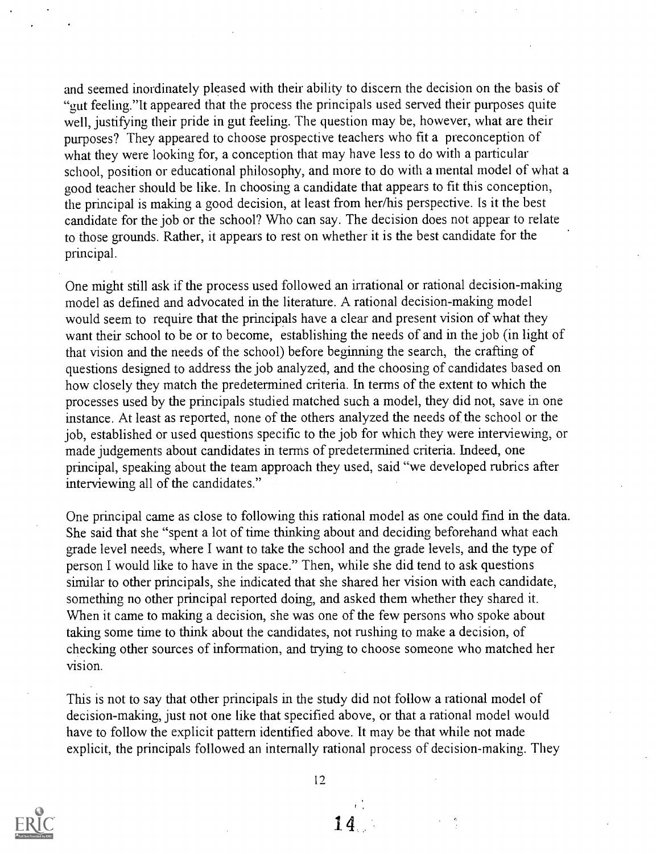and seemed inordinately pleased with their ability to discern the decision on the basis of feeling."It appeared that the process the principals used served their purposes quite well, justifying their pride in gut feeling. The question may be, however, what are their purposes? They appeared to choose prospective teachers who fit a preconception of what they were looking for, a conception that may have less to do with a particular school, position or educational philosophy, and more to do with a mental model of what a good teacher should be like. In choosing a candidate that appears to fit this conception, the principal is making a good decision, at least from her/his perspective. Is it the best candidate for the job or the school? Who can say. The decision does not appear to relate to those grounds. Rather, it appears to rest on whether it is the best candidate for the principal.

One might still ask if the process used followed an irrational or rational decision-making model as defined and advocated in the literature. A rational decision-making model would seem to require that the principals have a clear and present vision of what they want their school to be or to become, establishing the needs of and in the job (in light of that vision and the needs of the school) before beginning the search, the crafting of questions designed to address the job analyzed, and the choosing of candidates based on how closely they match the predetermined criteria. In terms of the extent to which the processes used by the principals studied matched such a model, they did not, save in one instance. At least as reported, none of the others analyzed the needs of the school or the job, established or used questions specific to the job for which they were interviewing, or made judgements about candidates in terms of predetermined criteria. Indeed, one principal, speaking about the team approach they used, said "we developed rubrics after interviewing all of the candidates."

One principal came as close to following this rational model as one could find in the data. She said that she "spent a lot of time thinking about and deciding beforehand what each grade level needs, where I want to take the school and the grade levels, and the type of person I would like to have in the space." Then, while she did tend to ask questions similar to other principals, she indicated that she shared her vision with each candidate, something no other principal reported doing, and asked them whether they shared it. When it came to making a decision, she was one of the few persons who spoke about taking some time to think about the candidates, not rushing to make a decision, of checking other sources of information, and trying to choose someone who matched her vision.

This is not to say that other principals in the study did not follow a rational model of decision-making, just not one like that specified above, or that a rational model would have to follow the explicit pattern identified above. It may be that while not made explicit, the principals followed an internally rational process of decision-making. They



 $12$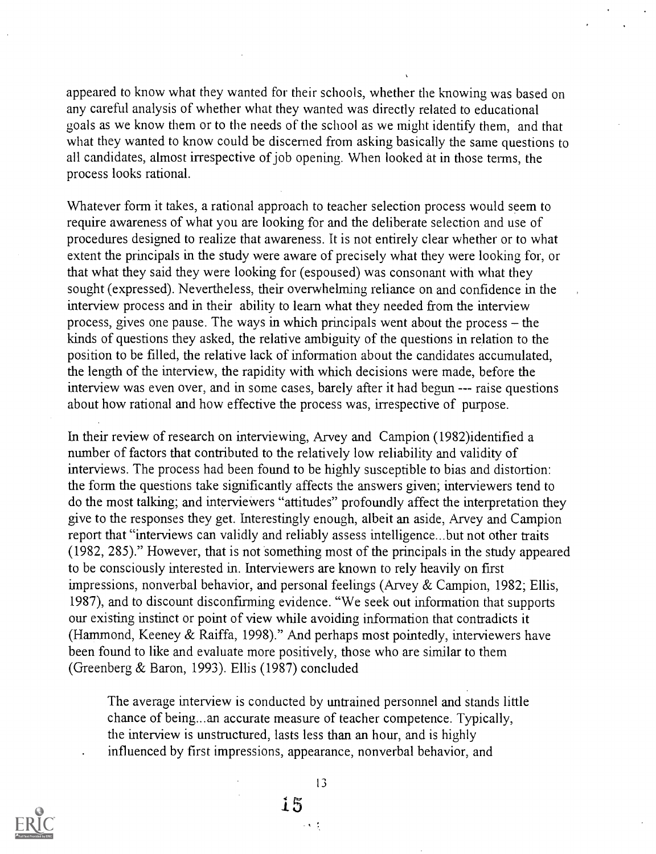appeared to know what they wanted for their schools, whether the knowing was based on any careful analysis of whether what they wanted was directly related to educational goals as we know them or to the needs of the school as we might identify them, and that what they wanted to know could be discerned from asking basically the same questions to all candidates, almost irrespective of job opening. When looked at in those terms, the process looks rational.

Whatever form it takes, a rational approach to teacher selection process would seem to require awareness of what you are looking for and the deliberate selection and use of procedures designed to realize that awareness. It is not entirely clear whether or to what extent the principals in the study were aware of precisely what they were looking for, or that what they said they were looking for (espoused) was consonant with what they sought (expressed). Nevertheless, their overwhelming reliance on and confidence in the interview process and in their ability to learn what they needed from the interview process, gives one pause. The ways in which principals went about the process  $-$  the kinds of questions they asked, the relative ambiguity of the questions in relation to the position to be filled, the relative lack of information about the candidates accumulated, the length of the interview, the rapidity with which decisions were made, before the interview was even over, and in some cases, barely after it had begun --- raise questions about how rational and how effective the process was, irrespective of purpose.

In their review of research on interviewing, Arvey and Campion (1982)identified a number of factors that contributed to the relatively low reliability and validity of interviews. The process had been found to be highly susceptible to bias and distortion: the form the questions take significantly affects the answers given; interviewers tend to do the most talking; and interviewers "attitudes" profoundly affect the interpretation they give to the responses they get. Interestingly enough, albeit an aside, Arvey and Campion report that "interviews can validly and reliably assess intelligence...but not other traits (1982, 285)." However, that is not something most of the principals in the study appeared to be consciously interested in. Interviewers are known to rely heavily on first impressions, nonverbal behavior, and personal feelings (Arvey & Campion, 1982; Ellis, 1987), and to discount disconfirming evidence. "We seek out information that supports our existing instinct or point of view while avoiding information that contradicts it (Hammond, Keeney & Raiffa, 1998)." And perhaps most pointedly, interviewers have been found to like and evaluate more positively, those who are similar to them (Greenberg & Baron, 1993). Ellis (1987) concluded

The average interview is conducted by untrained personnel and stands little chance of being...an accurate measure of teacher competence. Typically, the interview is unstructured, lasts less than an hour, and is highly influenced by first impressions, appearance, nonverbal behavior, and



 $13$ 

 $\sim 8-5$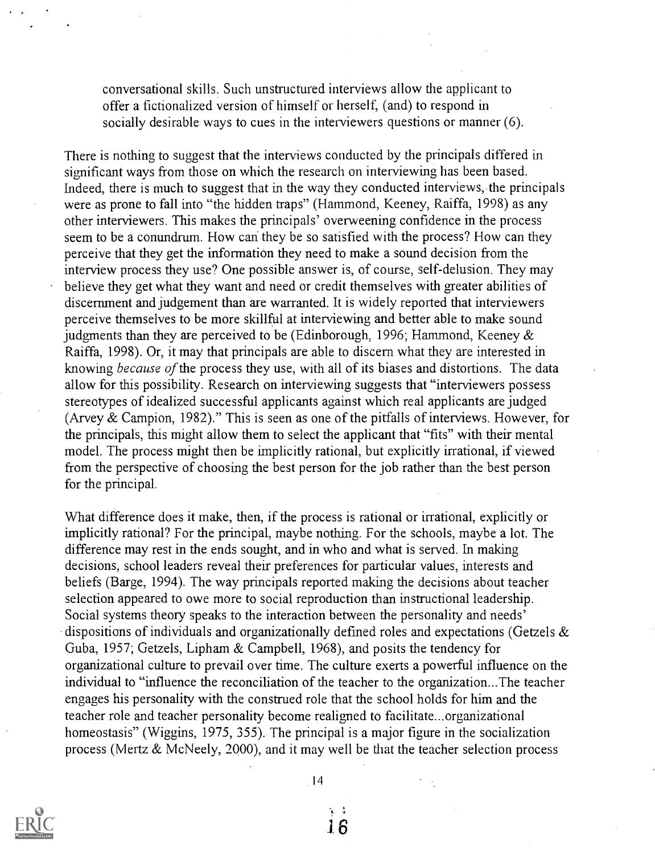conversational skills. Such unstructured interviews allow the applicant to offer a fictionalized version of himself or herself, (and) to respond in socially desirable ways to cues in the interviewers questions or manner (6).

There is nothing to suggest that the interviews conducted by the principals differed in significant ways from those on which the research on interviewing has been based. Indeed, there is much to suggest that in the way they conducted interviews, the principals were as prone to fall into "the hidden traps" (Hammond, Keeney, Raiffa, 1998) as any other interviewers. This makes the principals' overweening confidence in the process seem to be a conundrum. How can they be so satisfied with the process? How can they perceive that they get the information they need to make a sound decision from the interview process they use? One possible answer is, of course, self-delusion. They may believe they get what they want and need or credit themselves with greater abilities of discernment and judgement than are warranted. It is widely reported that interviewers perceive themselves to be more skillful at interviewing and better able to make sound judgments than they are perceived to be (Edinborough, 1996; Hammond, Keeney & Raiffa, 1998). Or, it may that principals are able to discern what they are interested in knowing because of the process they use, with all of its biases and distortions. The data allow for this possibility. Research on interviewing suggests that "interviewers possess stereotypes of idealized successful applicants against which real applicants are judged (Arvey & Campion, 1982)." This is seen as one of the pitfalls of interviews. However, for the principals, this might allow them to select the applicant that "fits" with their mental model. The process might then be implicitly rational, but explicitly irrational, if viewed from the perspective of choosing the best person for the job rather than the best person for the principal.

What difference does it make, then, if the process is rational or irrational, explicitly or implicitly rational? For the principal, maybe nothing. For the schools, maybe a lot. The difference may rest in the ends sought, and in who and what is served. In making decisions, school leaders reveal their preferences for particular values, interests and beliefs (Barge, 1994). The way principals reported making the decisions about teacher selection appeared to owe more to social reproduction than instructional leadership. Social systems theory speaks to the interaction between the personality and needs' dispositions of individuals and organizationally defined roles and expectations (Getzels & Guba, 1957; Getzels, Lipham & Campbell, 1968), and posits the tendency for organizational culture to prevail over time. The culture exerts a powerful influence on the individual to "influence the reconciliation of the teacher to the organization...The teacher engages his personality with the construed role that the school holds for him and the teacher role and teacher personality become realigned to facilitate...organizational homeostasis" (Wiggins, 1975, 355). The principal is a major figure in the socialization process (Mertz & McNeely, 2000), and it may well be that the teacher selection process



14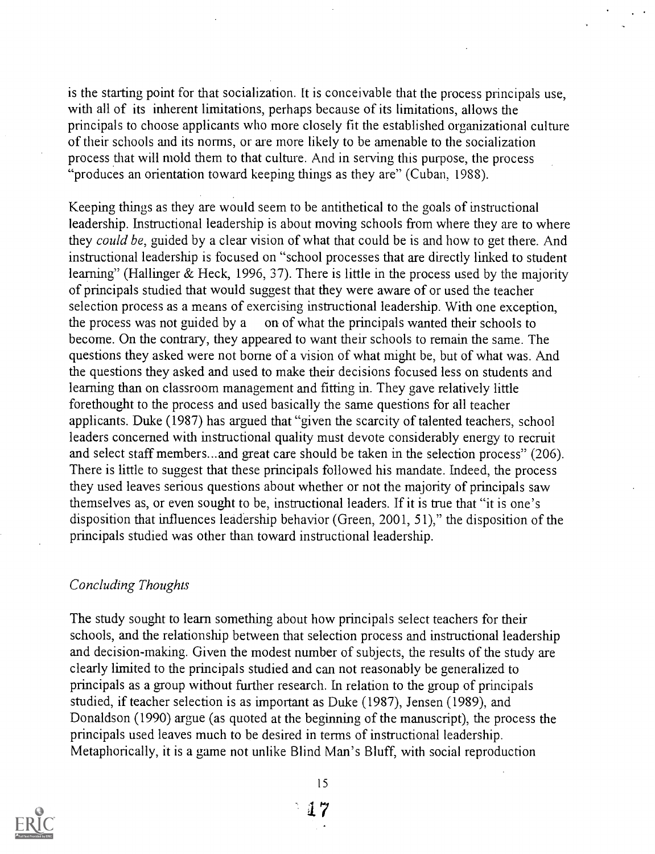is the starting point for that socialization. It is conceivable that the process principals use, with all of its inherent limitations, perhaps because of its limitations, allows the principals to choose applicants who more closely fit the established organizational culture of their schools and its norms, or are more likely to be amenable to the socialization process that will mold them to that culture. And in serving this purpose, the process "produces an orientation toward keeping things as they are" (Cuban, 1988).

Keeping things as they are would seem to be antithetical to the goals of instructional leadership. Instructional leadership is about moving schools from where they are to where they could be, guided by a clear vision of what that could be is and how to get there. And instructional leadership is focused on "school processes that are directly linked to student learning" (Hallinger & Heck, 1996, 37). There is little in the process used by the majority of principals studied that would suggest that they were aware of or used the teacher selection process as a means of exercising instructional leadership. With one exception, the process was not guided by a on of what the principals wanted their schools to become. On the contrary, they appeared to want their schools to remain the same. The questions they asked were not borne of a vision of what might be, but of what was. And the questions they asked and used to make their decisions focused less on students and learning than on classroom management and fitting in. They gave relatively little forethought to the process and used basically the same questions for all teacher applicants. Duke (1987) has argued that "given the scarcity of talented teachers, school leaders concerned with instructional quality must devote considerably energy to recruit and select staff members...and great care should be taken in the selection process" (206). There is little to suggest that these principals followed his mandate. Indeed, the process they used leaves serious questions about whether or not the majority of principals saw themselves as, or even sought to be, instructional leaders. If it is true that "it is one's disposition that influences leadership behavior (Green, 2001, 51)," the disposition of the principals studied was other than toward instructional leadership.

## Concluding Thoughts

The study sought to learn something about how principals select teachers for their schools, and the relationship between that selection process and instructional leadership and decision-making. Given the modest number of subjects, the results of the study are clearly limited to the principals studied and can not reasonably be generalized to principals as a group without further research. In relation to the group of principals studied, if teacher selection is as important as Duke (1987), Jensen (1989), and Donaldson (1990) argue (as quoted at the beginning of the manuscript), the process the principals used leaves much to be desired in terms of instructional leadership. Metaphorically, it is a game not unlike Blind Man's Bluff, with social reproduction

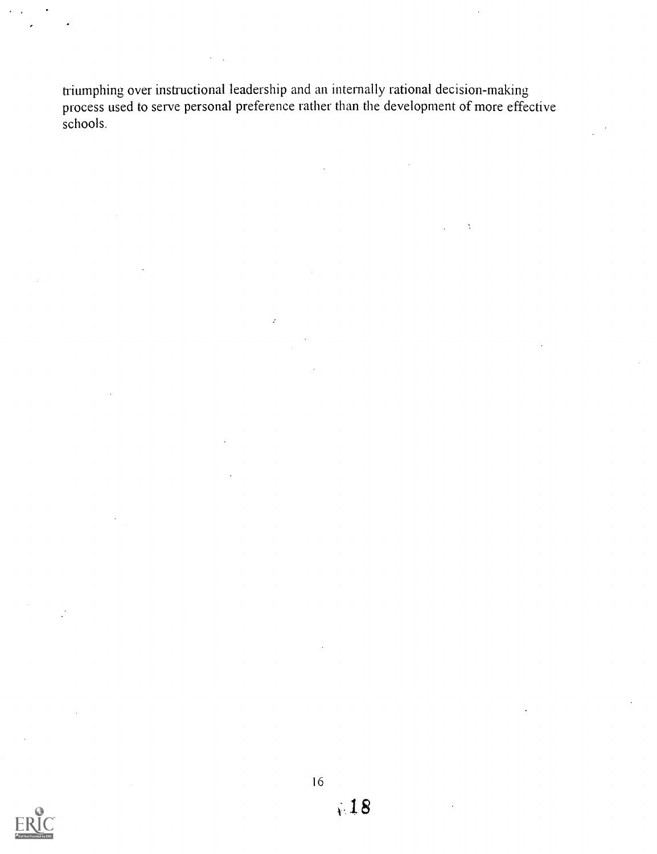triumphing over instructional leadership and an internally rational decision-making process used to serve personal preference rather than the development of more effective schools.

 $\Delta$ 

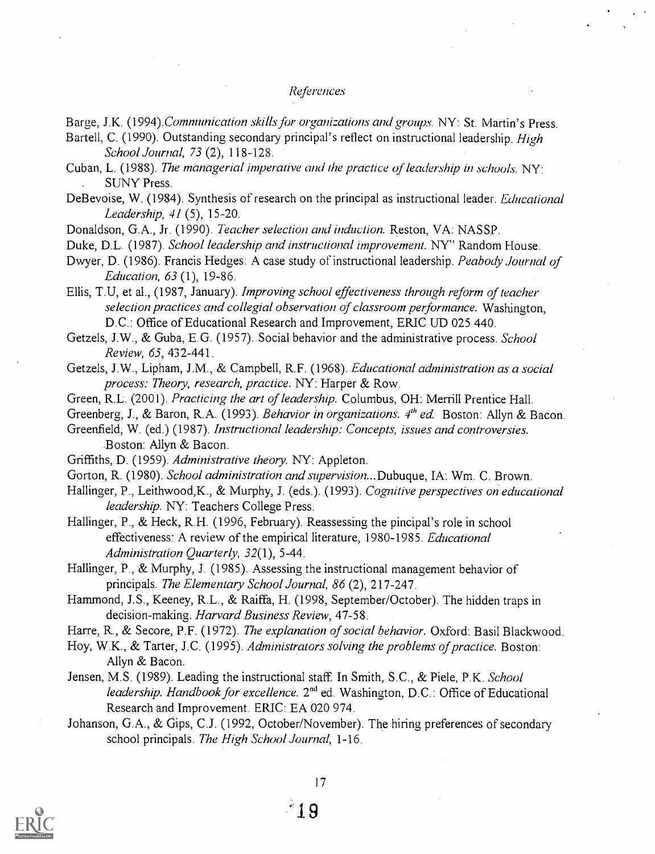#### References

Bartell, C. (1990). Outstanding secondary principal's reflect on instructional leadership. High School Journal, 73 (2), 118-128.

Cuban, L. (1988). The managerial imperative and the practice of leadership in schools.  $NY'$ . SUNY Press.

DeBevoise, W. (1984). Synthesis of research on the principal as instructional leader. *Educational* Leadership, 41 (5), 15-20.

Donaldson, G.A., Jr. (1990). Teacher selection and induction. Reston, VA: NASSP.

Duke, D.L. (1987). School leadership and instructional improvement. NY" Random House.

Dwyer, D. (1986). Francis Hedges: A case study of instructional leadership. Peabody Journal of Education, 63 (1), 19-86.

Ellis, T.U, et al., (1987, January). Improving school effectiveness through reform of teacher selection practices and collegial observation of classroom performance. Washington, D.C.: Office of Educational Research and Improvement, ERIC UD 025 440.

Getzels, J.W., & Guba, E.G. (1957). Social behavior and the administrative process. School Review, 65, 432-441.

Getzels, J.W., Lipham, J.M., & Campbell, R.F. (1968). Educational administration as a social process: Theory, research, practice. NY: Harper & Row.

Green, R.L. (2001). Practicing the art of leadership. Columbus, OH: Merrill Prentice Hall.

Greenberg, J., & Baron, R.A. (1993). Behavior in organizations.  $4<sup>th</sup>$  ed. Boston: Allyn & Bacon.

Greenfield, W. (ed.) (1987). Instructional leadership: Concepts, issues and controversies. .Boston: Allyn & Bacon.

Gorton, R. (1980). School administration and supervision...Dubuque, IA: Wm. C. Brown.

Hallinger, P., Leithwood, K., & Murphy, J. (eds.). (1993). Cognitive perspectives on educational leadership. NY: Teachers College Press.

Hallinger, P., & Heck, R.H. (1996, February). Reassessing the pincipal's role in school effectiveness: A review of the empirical literature, 1980-1985. Educational Administration Quarterly, 32(1), 5-44.

Hallinger, P., & Murphy, J. (1985). Assessing the instructional management behavior of principals. The Elementary School Journal, 86 (2), 217-247.

Hammond, J.S., Keeney, R.L., & Raiffa, H. (1998, September/October). The hidden traps in decision-making. Harvard Business Review, 47-58.

Harre, R., & Secore, P.F. (1972). The explanation of social behavior. Oxford: Basil Blackwood.

Hoy, W.K., & Tarter, J.C. (1995). Administrators solving the problems of practice. Boston: Allyn & Bacon.

Jensen, M.S. (1989). Leading the instructional staff. In Smith, S.C., & Piele, P.K. School leadership. Handbook for excellence. 2<sup>nd</sup> ed. Washington, D.C.: Office of Educational Research and Improvement. ERIC: EA 020 974.

Johanson, G.A., & Gips, C.J. (1992, October/November). The hiring preferences of secondary school principals. The High School Journal, 1-16.



Barge, J.K. (1994). Communication skills for organizations and groups. NY: St. Martin's Press.

Griffiths, D. (1959). Administrative theory. NY: Appleton.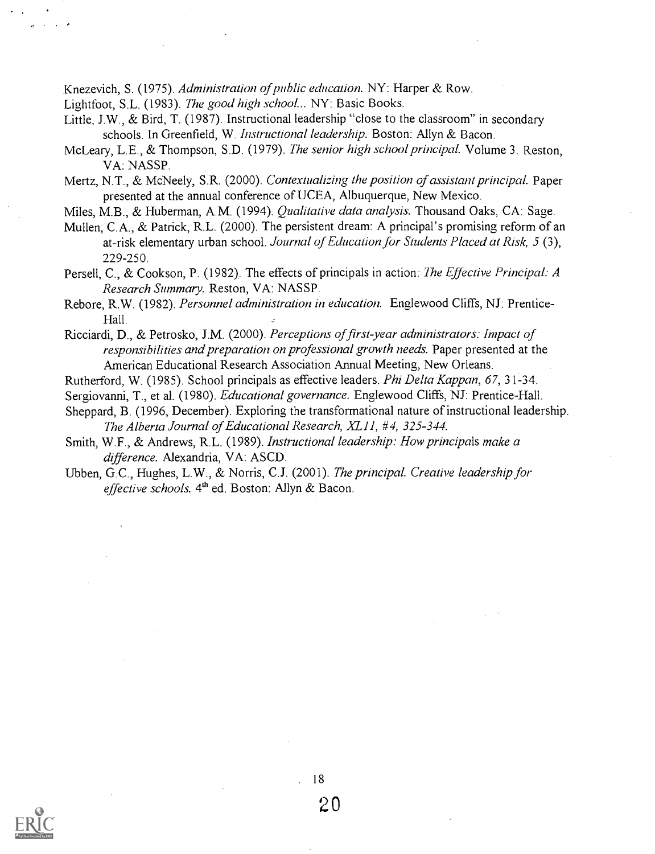Knezevich, S. (1975). Administration of public education. NY: Harper & Row.

Lightfoot, S.L. (1983). The good high school... NY: Basic Books.

Little, J.W., & Bird, T. (1987). Instructional leadership "close to the classroom" in secondary schools. In Greenfield, W. Instructional leadership. Boston: Allyn & Bacon.

McLeary, L.E., & Thompson, S.D. (1979). The senior high school principal. Volume 3. Reston, VA: NASSP.

Mertz, N.T., & McNeely, S.R. (2000). Contextualizing the position of assistant principal. Paper presented at the annual conference of UCEA, Albuquerque, New Mexico.

Miles, M.B., & Huberman, A.M. (1994). Qualitative data analysis. Thousand Oaks, CA: Sage.

Mullen, C.A., & Patrick, R.L. (2000). The persistent dream: A principal's promising reform of an at-risk elementary urban school. Journal of Education for Students Placed at Risk, 5 (3), 229-250.

- Persell, C., & Cookson, P. (1982). The effects of principals in action: The Effective Principal: A Research Summary. Reston, VA: NASSP.
- Rebore, R.W. (1982). Personnel administration in education. Englewood Cliffs, NJ: Prentice-Hall.

Ricciardi, D., & Petrosko, J.M. (2000). Perceptions of first -year administrators: Impact of responsibilities and preparation on professional growth needs. Paper presented at the American Educational Research Association Annual Meeting, New Orleans.

- Rutherford, W. (1985). School principals as effective leaders. Phi Delta Kappan, 67, 31-34.
- Sergiovanni, T., et al. (1980). *Educational governance*. Englewood Cliffs, NJ: Prentice-Hall.
- Sheppard, B. (1996, December). Exploring the transformational nature of instructional leadership. The Alberta Journal of Educational Research, XL11, #4, 325-344.
- Smith, W.F., & Andrews, R.L. (1989). Instructional leadership: How principals make a difference. Alexandria, VA: ASCD.
- Ubben, G.C., Hughes, L.W., & Norris, C.J. (2001). The principal. Creative leadership for effective schools. 4<sup>th</sup> ed. Boston: Allyn & Bacon.



20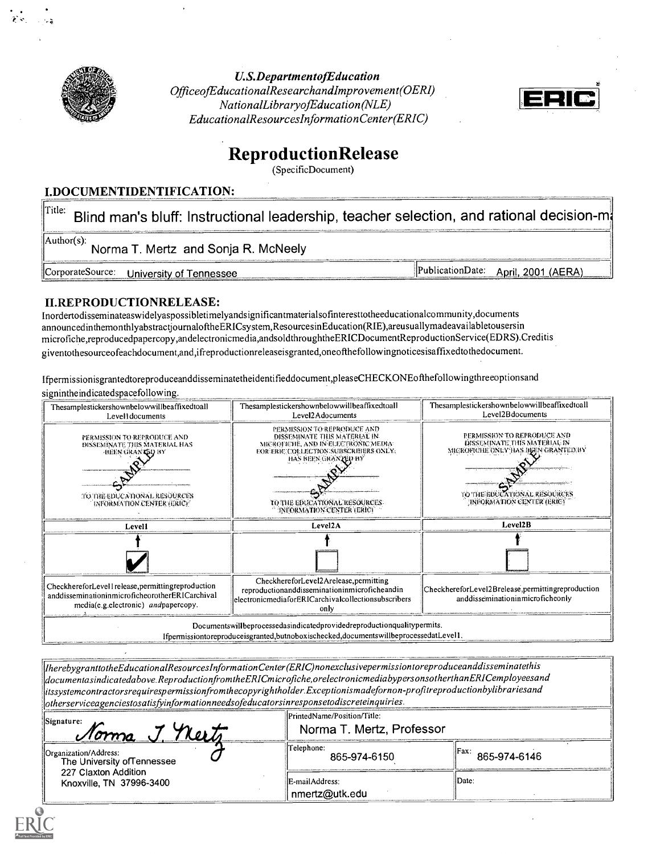

U.S.DepartmentofEducation OfficeofEducationalResearchandImprovement(OERI) NationalLibraryofEducation (NLE) EducationalResourceslnformationCenter (ERIC)



## ReproductionRelease

(SpecificDocument)

### LDOCUMENTIDENTIFICATION:

 $\parallel^{\text{Title:}}$  Blind man's bluff: Instructional leadership, teacher selection, and rational decision-m $\cdot$ Author(s):<br>Norma T. Mertz and Sonja R. McNeely CorporateSource: University of Tennessee Material CorporateSource: April, 2001 (AERA)

## II.REPRODUCTIONRELEASE:

Inordertodisseminateaswidelyaspossibletimelyandsignificantmaterialsofinteresttotheeducationalcommunity,documents announcedinthemonthlyabstractjournaloftheERICsystem,ResourcesinEducation(RIE),areusuallymadeavailabletousersin microfiche,reproducedpapercopy,andelectronicmedia,andsoldthroughtheERICDocumentReproductionService(EDRS).Creditis giventothesourceofeachdocument,and,ifreproductionreleaseisgranted,oneofthefollowingnoticesisaffixedtothedocument.

Ifpermissionisgrantedtoreproduceanddisseminatetheidentifieddocument,pleaseCHECKONEofthefollowingthreeoptionsand signintheindicatedspacefollowing.



 $[Interb program to the Educational Resources Information Center (ERIC) nonexclusive permission to reproduce and disse minatethis$ documentasindicatedabove. ReproductionfromtheERICmicrofiche,orelectronicmediabypersonsotherthanERICemployeesand

itssystemcontractorsrequirespermissionfromthecopyrightholderExceptionismadefornon-profitreproductionbylibrariesand  $|$ otherserviceagenciestosatisfyinformationneedsofeducatorsinresponsetodiscreteinquiries.

| Signature:<br><u>Norma J Neets</u>                   | PrintedName/Position/Title:<br>Norma T. Mertz, Professor |                               |
|------------------------------------------------------|----------------------------------------------------------|-------------------------------|
| Organization/Address:<br>The University of Tennessee | Telephone:<br>865-974-6150                               | $\parallel$ Fax: 865-974-6146 |
| 227 Claxton Addition<br>Knoxville, TN 37996-3400     | IE-mailAddress:<br>nmertz@utk.edu                        | IDate.                        |